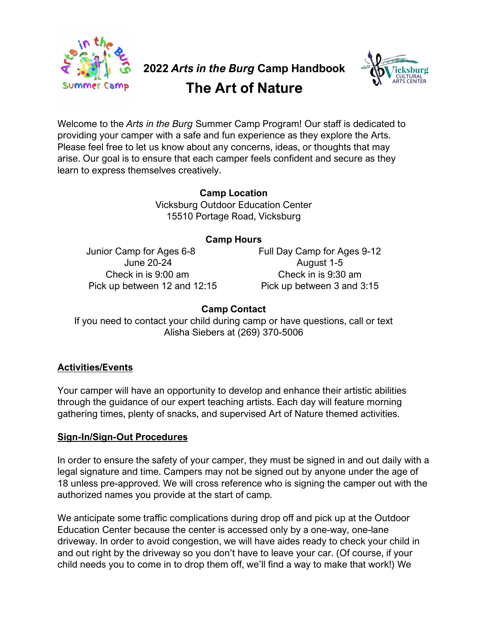

# **2022** *Arts in the Burg* **Camp Handbook The Art of Nature**



Welcome to the *Arts in the Burg* Summer Camp Program! Our staff is dedicated to providing your camper with a safe and fun experience as they explore the Arts. Please feel free to let us know about any concerns, ideas, or thoughts that may arise. Our goal is to ensure that each camper feels confident and secure as they learn to express themselves creatively.

> **Camp Location** Vicksburg Outdoor Education Center 15510 Portage Road, Vicksburg

#### **Camp Hours**

Pick up between 12 and 12:15 Pick up between 3 and 3:15

Junior Camp for Ages 6-8 Full Day Camp for Ages 9-12 June 20-24 August 1-5 Check in is 9:00 am Check in is 9:30 am

# **Camp Contact**

If you need to contact your child during camp or have questions, call or text Alisha Siebers at (269) 370-5006

# **Activities/Events**

Your camper will have an opportunity to develop and enhance their artistic abilities through the guidance of our expert teaching artists. Each day will feature morning gathering times, plenty of snacks, and supervised Art of Nature themed activities.

# **Sign-In/Sign-Out Procedures**

In order to ensure the safety of your camper, they must be signed in and out daily with a legal signature and time. Campers may not be signed out by anyone under the age of 18 unless pre-approved. We will cross reference who is signing the camper out with the authorized names you provide at the start of camp.

We anticipate some traffic complications during drop off and pick up at the Outdoor Education Center because the center is accessed only by a one-way, one-lane driveway. In order to avoid congestion, we will have aides ready to check your child in and out right by the driveway so you don't have to leave your car. (Of course, if your child needs you to come in to drop them off, we'll find a way to make that work!) We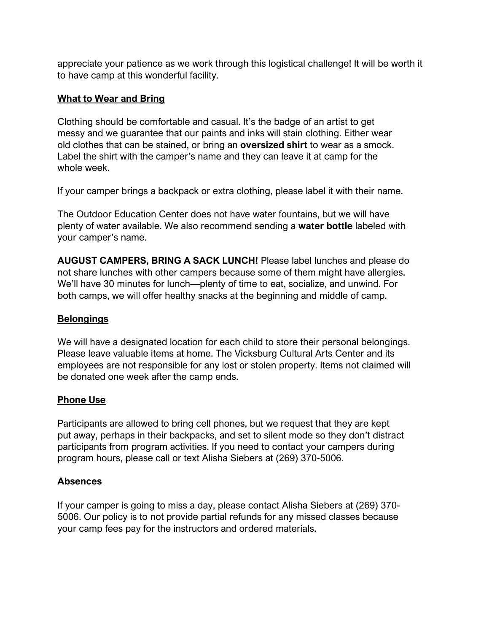appreciate your patience as we work through this logistical challenge! It will be worth it to have camp at this wonderful facility.

### **What to Wear and Bring**

Clothing should be comfortable and casual. It's the badge of an artist to get messy and we guarantee that our paints and inks will stain clothing. Either wear old clothes that can be stained, or bring an **oversized shirt** to wear as a smock. Label the shirt with the camper's name and they can leave it at camp for the whole week.

If your camper brings a backpack or extra clothing, please label it with their name.

The Outdoor Education Center does not have water fountains, but we will have plenty of water available. We also recommend sending a **water bottle** labeled with your camper's name.

**AUGUST CAMPERS, BRING A SACK LUNCH!** Please label lunches and please do not share lunches with other campers because some of them might have allergies. We'll have 30 minutes for lunch—plenty of time to eat, socialize, and unwind. For both camps, we will offer healthy snacks at the beginning and middle of camp.

#### **Belongings**

We will have a designated location for each child to store their personal belongings. Please leave valuable items at home. The Vicksburg Cultural Arts Center and its employees are not responsible for any lost or stolen property. Items not claimed will be donated one week after the camp ends.

# **Phone Use**

Participants are allowed to bring cell phones, but we request that they are kept put away, perhaps in their backpacks, and set to silent mode so they don't distract participants from program activities. If you need to contact your campers during program hours, please call or text Alisha Siebers at (269) 370-5006.

#### **Absences**

If your camper is going to miss a day, please contact Alisha Siebers at (269) 370- 5006. Our policy is to not provide partial refunds for any missed classes because your camp fees pay for the instructors and ordered materials.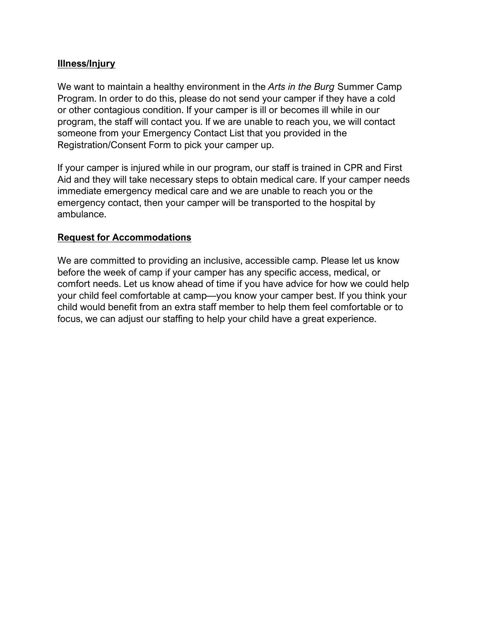#### **Illness/Injury**

We want to maintain a healthy environment in the *Arts in the Burg* Summer Camp Program. In order to do this, please do not send your camper if they have a cold or other contagious condition. If your camper is ill or becomes ill while in our program, the staff will contact you. If we are unable to reach you, we will contact someone from your Emergency Contact List that you provided in the Registration/Consent Form to pick your camper up.

If your camper is injured while in our program, our staff is trained in CPR and First Aid and they will take necessary steps to obtain medical care. If your camper needs immediate emergency medical care and we are unable to reach you or the emergency contact, then your camper will be transported to the hospital by ambulance.

#### **Request for Accommodations**

We are committed to providing an inclusive, accessible camp. Please let us know before the week of camp if your camper has any specific access, medical, or comfort needs. Let us know ahead of time if you have advice for how we could help your child feel comfortable at camp—you know your camper best. If you think your child would benefit from an extra staff member to help them feel comfortable or to focus, we can adjust our staffing to help your child have a great experience.